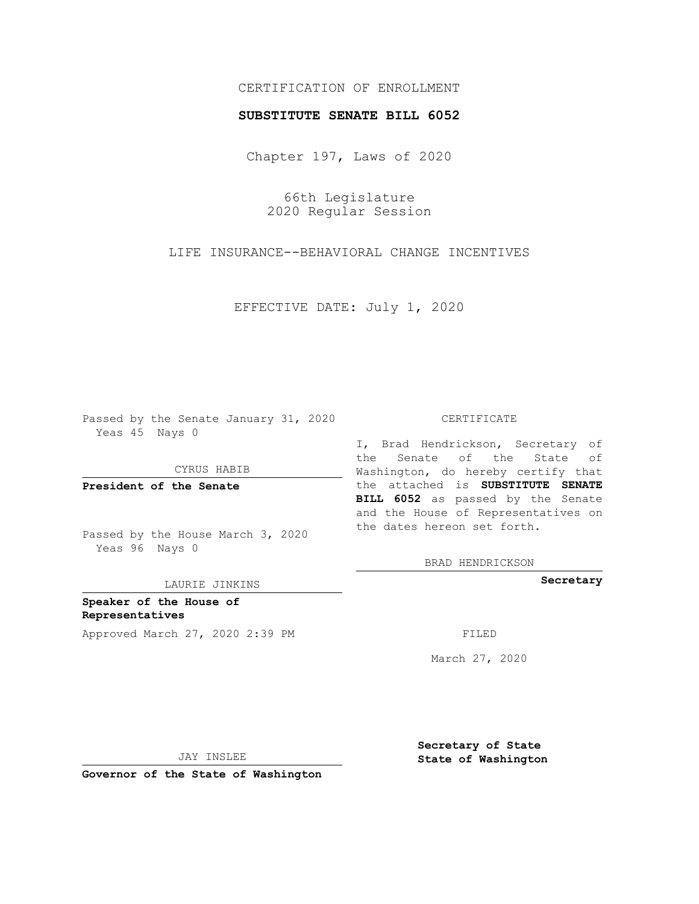## CERTIFICATION OF ENROLLMENT

## **SUBSTITUTE SENATE BILL 6052**

Chapter 197, Laws of 2020

66th Legislature 2020 Regular Session

LIFE INSURANCE--BEHAVIORAL CHANGE INCENTIVES

EFFECTIVE DATE: July 1, 2020

Passed by the Senate January 31, 2020 Yeas 45 Nays 0

CYRUS HABIB

**President of the Senate**

Passed by the House March 3, 2020 Yeas 96 Nays 0

LAURIE JINKINS

**Speaker of the House of Representatives** Approved March 27, 2020 2:39 PM FILED

## CERTIFICATE

I, Brad Hendrickson, Secretary of the Senate of the State of Washington, do hereby certify that the attached is **SUBSTITUTE SENATE BILL 6052** as passed by the Senate and the House of Representatives on the dates hereon set forth.

BRAD HENDRICKSON

**Secretary**

March 27, 2020

JAY INSLEE

**Governor of the State of Washington**

**Secretary of State State of Washington**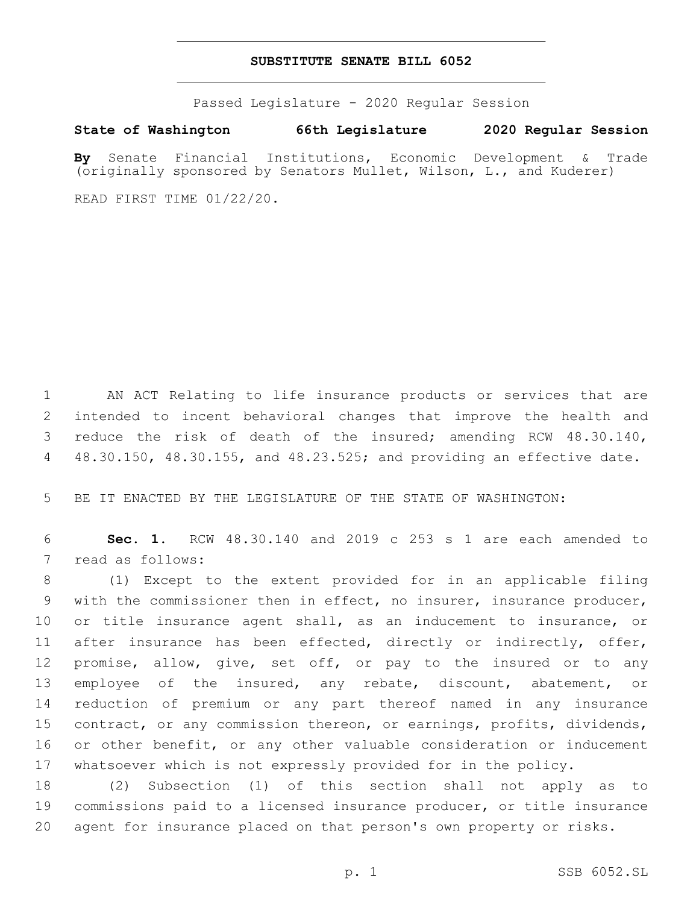## **SUBSTITUTE SENATE BILL 6052**

Passed Legislature - 2020 Regular Session

**State of Washington 66th Legislature 2020 Regular Session**

**By** Senate Financial Institutions, Economic Development & Trade (originally sponsored by Senators Mullet, Wilson, L., and Kuderer)

READ FIRST TIME 01/22/20.

 AN ACT Relating to life insurance products or services that are intended to incent behavioral changes that improve the health and reduce the risk of death of the insured; amending RCW 48.30.140, 48.30.150, 48.30.155, and 48.23.525; and providing an effective date.

BE IT ENACTED BY THE LEGISLATURE OF THE STATE OF WASHINGTON:

 **Sec. 1.** RCW 48.30.140 and 2019 c 253 s 1 are each amended to 7 read as follows:

 (1) Except to the extent provided for in an applicable filing with the commissioner then in effect, no insurer, insurance producer, or title insurance agent shall, as an inducement to insurance, or 11 after insurance has been effected, directly or indirectly, offer, promise, allow, give, set off, or pay to the insured or to any employee of the insured, any rebate, discount, abatement, or reduction of premium or any part thereof named in any insurance contract, or any commission thereon, or earnings, profits, dividends, 16 or other benefit, or any other valuable consideration or inducement whatsoever which is not expressly provided for in the policy.

 (2) Subsection (1) of this section shall not apply as to commissions paid to a licensed insurance producer, or title insurance agent for insurance placed on that person's own property or risks.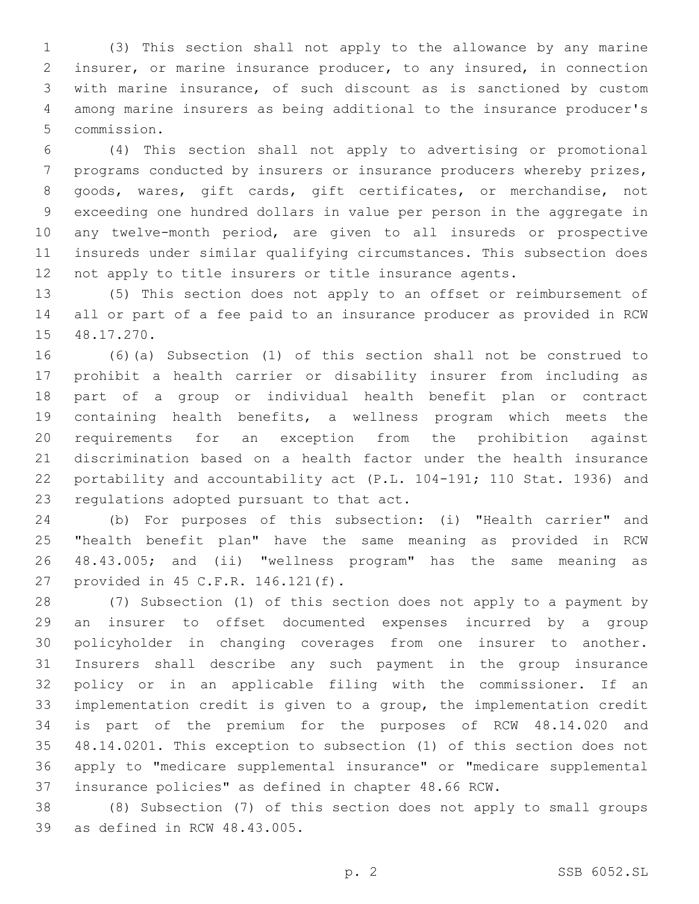(3) This section shall not apply to the allowance by any marine insurer, or marine insurance producer, to any insured, in connection with marine insurance, of such discount as is sanctioned by custom among marine insurers as being additional to the insurance producer's 5 commission.

 (4) This section shall not apply to advertising or promotional programs conducted by insurers or insurance producers whereby prizes, goods, wares, gift cards, gift certificates, or merchandise, not exceeding one hundred dollars in value per person in the aggregate in any twelve-month period, are given to all insureds or prospective insureds under similar qualifying circumstances. This subsection does not apply to title insurers or title insurance agents.

 (5) This section does not apply to an offset or reimbursement of all or part of a fee paid to an insurance producer as provided in RCW 15 48.17.270.

 (6)(a) Subsection (1) of this section shall not be construed to prohibit a health carrier or disability insurer from including as part of a group or individual health benefit plan or contract containing health benefits, a wellness program which meets the requirements for an exception from the prohibition against discrimination based on a health factor under the health insurance portability and accountability act (P.L. 104-191; 110 Stat. 1936) and 23 regulations adopted pursuant to that act.

 (b) For purposes of this subsection: (i) "Health carrier" and "health benefit plan" have the same meaning as provided in RCW 48.43.005; and (ii) "wellness program" has the same meaning as 27 provided in 45 C.F.R. 146.121(f).

 (7) Subsection (1) of this section does not apply to a payment by an insurer to offset documented expenses incurred by a group policyholder in changing coverages from one insurer to another. Insurers shall describe any such payment in the group insurance policy or in an applicable filing with the commissioner. If an implementation credit is given to a group, the implementation credit is part of the premium for the purposes of RCW 48.14.020 and 48.14.0201. This exception to subsection (1) of this section does not apply to "medicare supplemental insurance" or "medicare supplemental insurance policies" as defined in chapter 48.66 RCW.

 (8) Subsection (7) of this section does not apply to small groups 39 as defined in RCW 48.43.005.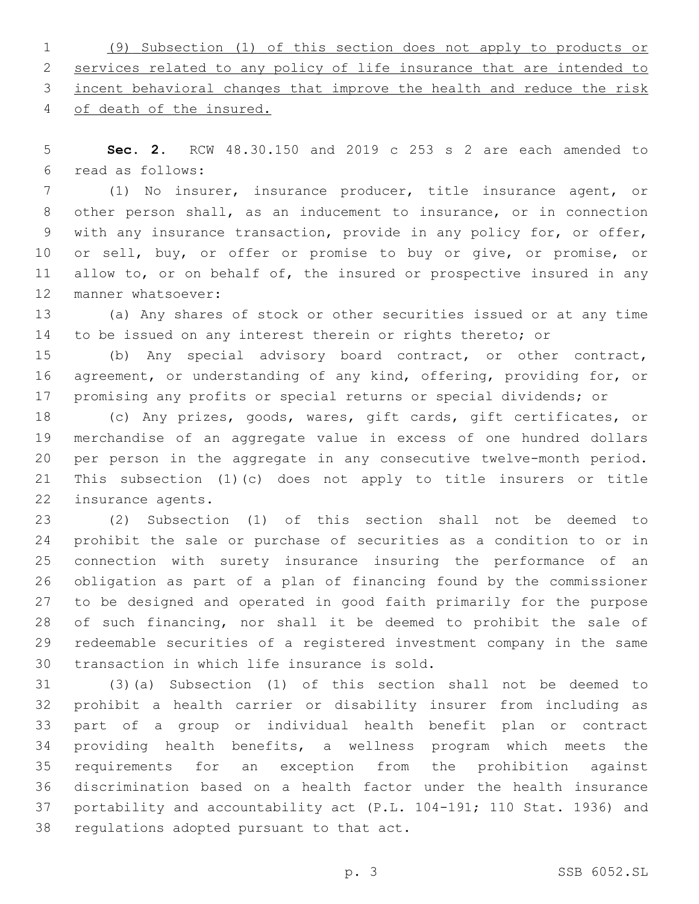(9) Subsection (1) of this section does not apply to products or services related to any policy of life insurance that are intended to incent behavioral changes that improve the health and reduce the risk of death of the insured.

 **Sec. 2.** RCW 48.30.150 and 2019 c 253 s 2 are each amended to read as follows:6

 (1) No insurer, insurance producer, title insurance agent, or other person shall, as an inducement to insurance, or in connection with any insurance transaction, provide in any policy for, or offer, 10 or sell, buy, or offer or promise to buy or give, or promise, or 11 allow to, or on behalf of, the insured or prospective insured in any 12 manner whatsoever:

 (a) Any shares of stock or other securities issued or at any time 14 to be issued on any interest therein or rights thereto; or

 (b) Any special advisory board contract, or other contract, agreement, or understanding of any kind, offering, providing for, or 17 promising any profits or special returns or special dividends; or

 (c) Any prizes, goods, wares, gift cards, gift certificates, or merchandise of an aggregate value in excess of one hundred dollars per person in the aggregate in any consecutive twelve-month period. This subsection (1)(c) does not apply to title insurers or title 22 insurance agents.

 (2) Subsection (1) of this section shall not be deemed to prohibit the sale or purchase of securities as a condition to or in connection with surety insurance insuring the performance of an obligation as part of a plan of financing found by the commissioner to be designed and operated in good faith primarily for the purpose of such financing, nor shall it be deemed to prohibit the sale of redeemable securities of a registered investment company in the same 30 transaction in which life insurance is sold.

 (3)(a) Subsection (1) of this section shall not be deemed to prohibit a health carrier or disability insurer from including as part of a group or individual health benefit plan or contract providing health benefits, a wellness program which meets the requirements for an exception from the prohibition against discrimination based on a health factor under the health insurance portability and accountability act (P.L. 104-191; 110 Stat. 1936) and 38 regulations adopted pursuant to that act.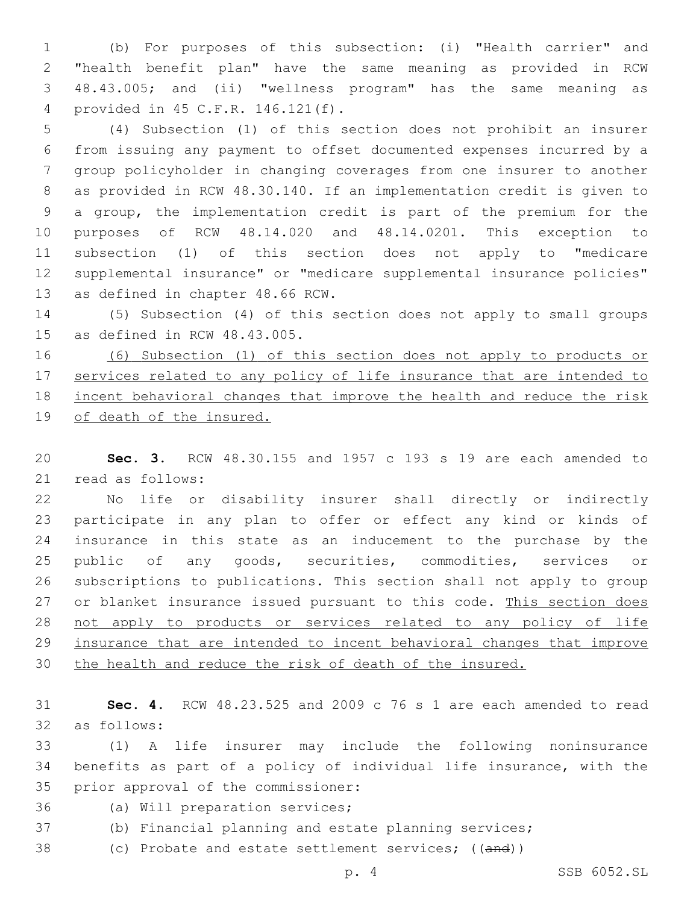(b) For purposes of this subsection: (i) "Health carrier" and "health benefit plan" have the same meaning as provided in RCW 48.43.005; and (ii) "wellness program" has the same meaning as provided in 45 C.F.R. 146.121(f).4

 (4) Subsection (1) of this section does not prohibit an insurer from issuing any payment to offset documented expenses incurred by a group policyholder in changing coverages from one insurer to another as provided in RCW 48.30.140. If an implementation credit is given to a group, the implementation credit is part of the premium for the purposes of RCW 48.14.020 and 48.14.0201. This exception to subsection (1) of this section does not apply to "medicare supplemental insurance" or "medicare supplemental insurance policies" 13 as defined in chapter 48.66 RCW.

 (5) Subsection (4) of this section does not apply to small groups 15 as defined in RCW  $48.43.005$ .

 (6) Subsection (1) of this section does not apply to products or 17 services related to any policy of life insurance that are intended to incent behavioral changes that improve the health and reduce the risk of death of the insured.

 **Sec. 3.** RCW 48.30.155 and 1957 c 193 s 19 are each amended to 21 read as follows:

 No life or disability insurer shall directly or indirectly participate in any plan to offer or effect any kind or kinds of insurance in this state as an inducement to the purchase by the public of any goods, securities, commodities, services or subscriptions to publications. This section shall not apply to group 27 or blanket insurance issued pursuant to this code. This section does not apply to products or services related to any policy of life insurance that are intended to incent behavioral changes that improve the health and reduce the risk of death of the insured.

 **Sec. 4.** RCW 48.23.525 and 2009 c 76 s 1 are each amended to read as follows:32

 (1) A life insurer may include the following noninsurance benefits as part of a policy of individual life insurance, with the 35 prior approval of the commissioner:

36 (a) Will preparation services;

(b) Financial planning and estate planning services;

38 (c) Probate and estate settlement services; ((and))